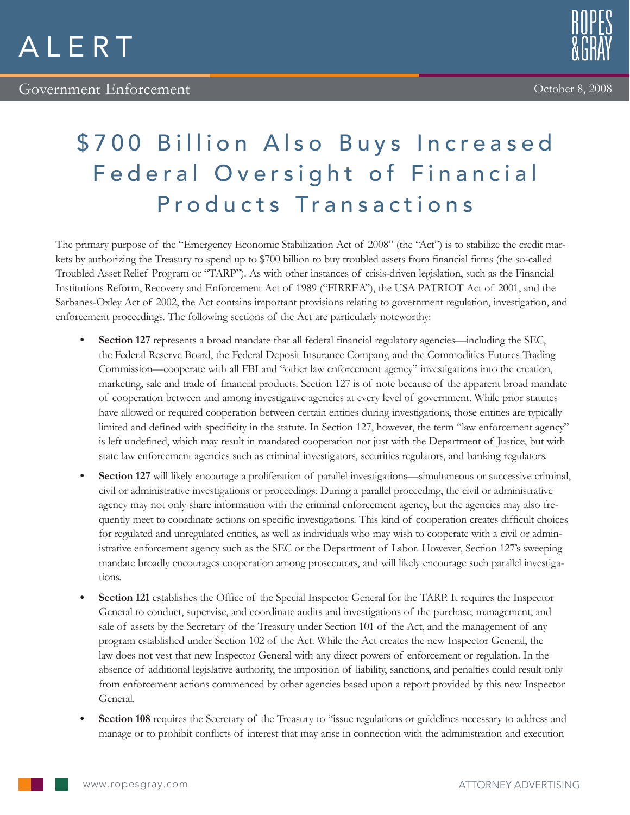



## \$700 Billion Also Buys Increased Federal Oversight of Financial Products Transactions

The primary purpose of the "Emergency Economic Stabilization Act of 2008" (the "Act") is to stabilize the credit markets by authorizing the Treasury to spend up to \$700 billion to buy troubled assets from financial firms (the so-called Troubled Asset Relief Program or "TARP"). As with other instances of crisis-driven legislation, such as the Financial Institutions Reform, Recovery and Enforcement Act of 1989 ("FIRREA"), the USA PATRIOT Act of 2001, and the Sarbanes-Oxley Act of 2002, the Act contains important provisions relating to government regulation, investigation, and enforcement proceedings. The following sections of the Act are particularly noteworthy:

- **Section 127** represents a broad mandate that all federal financial regulatory agencies—including the SEC, the Federal Reserve Board, the Federal Deposit Insurance Company, and the Commodities Futures Trading Commission—cooperate with all FBI and "other law enforcement agency" investigations into the creation, marketing, sale and trade of financial products. Section 127 is of note because of the apparent broad mandate of cooperation between and among investigative agencies at every level of government. While prior statutes have allowed or required cooperation between certain entities during investigations, those entities are typically limited and defined with specificity in the statute. In Section 127, however, the term "law enforcement agency" is left undefined, which may result in mandated cooperation not just with the Department of Justice, but with state law enforcement agencies such as criminal investigators, securities regulators, and banking regulators.
- **• Section 127** will likely encourage a proliferation of parallel investigations—simultaneous or successive criminal, civil or administrative investigations or proceedings. During a parallel proceeding, the civil or administrative agency may not only share information with the criminal enforcement agency, but the agencies may also frequently meet to coordinate actions on specific investigations. This kind of cooperation creates difficult choices for regulated and unregulated entities, as well as individuals who may wish to cooperate with a civil or administrative enforcement agency such as the SEC or the Department of Labor. However, Section 127's sweeping mandate broadly encourages cooperation among prosecutors, and will likely encourage such parallel investigations.
- **Section 121** establishes the Office of the Special Inspector General for the TARP. It requires the Inspector General to conduct, supervise, and coordinate audits and investigations of the purchase, management, and sale of assets by the Secretary of the Treasury under Section 101 of the Act, and the management of any program established under Section 102 of the Act. While the Act creates the new Inspector General, the law does not vest that new Inspector General with any direct powers of enforcement or regulation. In the absence of additional legislative authority, the imposition of liability, sanctions, and penalties could result only from enforcement actions commenced by other agencies based upon a report provided by this new Inspector General.
- **• Section 108** requires the Secretary of the Treasury to "issue regulations or guidelines necessary to address and manage or to prohibit conflicts of interest that may arise in connection with the administration and execution